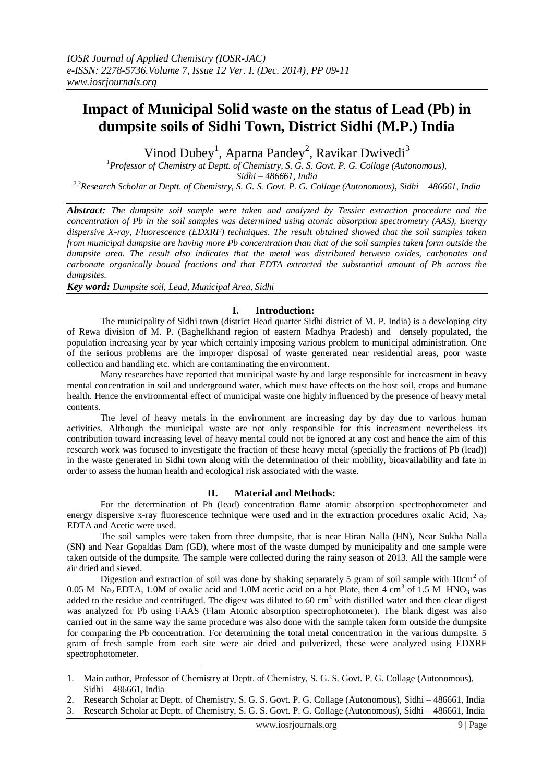# **Impact of Municipal Solid waste on the status of Lead (Pb) in dumpsite soils of Sidhi Town, District Sidhi (M.P.) India**

Vinod Dubey<sup>1</sup>, Aparna Pandey<sup>2</sup>, Ravikar Dwivedi<sup>3</sup>

*<sup>1</sup>Professor of Chemistry at Deptt. of Chemistry, S. G. S. Govt. P. G. Collage (Autonomous), Sidhi – 486661, India*

*2,3Research Scholar at Deptt. of Chemistry, S. G. S. Govt. P. G. Collage (Autonomous), Sidhi – 486661, India*

*Abstract: The dumpsite soil sample were taken and analyzed by Tessier extraction procedure and the concentration of Pb in the soil samples was determined using atomic absorption spectrometry (AAS), Energy dispersive X-ray, Fluorescence (EDXRF) techniques. The result obtained showed that the soil samples taken from municipal dumpsite are having more Pb concentration than that of the soil samples taken form outside the dumpsite area. The result also indicates that the metal was distributed between oxides, carbonates and carbonate organically bound fractions and that EDTA extracted the substantial amount of Pb across the dumpsites.* 

*Key word: Dumpsite soil, Lead, Municipal Area, Sidhi* 

<u>.</u>

## **I. Introduction:**

The municipality of Sidhi town (district Head quarter Sidhi district of M. P. India) is a developing city of Rewa division of M. P. (Baghelkhand region of eastern Madhya Pradesh) and densely populated, the population increasing year by year which certainly imposing various problem to municipal administration. One of the serious problems are the improper disposal of waste generated near residential areas, poor waste collection and handling etc. which are contaminating the environment.

Many researches have reported that municipal waste by and large responsible for increasment in heavy mental concentration in soil and underground water, which must have effects on the host soil, crops and humane health. Hence the environmental effect of municipal waste one highly influenced by the presence of heavy metal contents.

The level of heavy metals in the environment are increasing day by day due to various human activities. Although the municipal waste are not only responsible for this increasment nevertheless its contribution toward increasing level of heavy mental could not be ignored at any cost and hence the aim of this research work was focused to investigate the fraction of these heavy metal (specially the fractions of Pb (lead)) in the waste generated in Sidhi town along with the determination of their mobility, bioavailability and fate in order to assess the human health and ecological risk associated with the waste.

#### **II. Material and Methods:**

For the determination of Ph (lead) concentration flame atomic absorption spectrophotometer and energy dispersive x-ray fluorescence technique were used and in the extraction procedures oxalic Acid, Na<sub>2</sub> EDTA and Acetic were used.

The soil samples were taken from three dumpsite, that is near Hiran Nalla (HN), Near Sukha Nalla (SN) and Near Gopaldas Dam (GD), where most of the waste dumped by municipality and one sample were taken outside of the dumpsite. The sample were collected during the rainy season of 2013. All the sample were air dried and sieved.

Digestion and extraction of soil was done by shaking separately 5 gram of soil sample with  $10 \text{cm}^2$  of 0.05 M Na<sub>2</sub> EDTA, 1.0M of oxalic acid and 1.0M acetic acid on a hot Plate, then 4 cm<sup>3</sup> of 1.5 M HNO<sub>3</sub> was added to the residue and centrifuged. The digest was diluted to 60  $\text{cm}^3$  with distilled water and then clear digest was analyzed for Pb using FAAS (Flam Atomic absorption spectrophotometer). The blank digest was also carried out in the same way the same procedure was also done with the sample taken form outside the dumpsite for comparing the Pb concentration. For determining the total metal concentration in the various dumpsite. 5 gram of fresh sample from each site were air dried and pulverized, these were analyzed using EDXRF spectrophotometer.

2. Research Scholar at Deptt. of Chemistry, S. G. S. Govt. P. G. Collage (Autonomous), Sidhi – 486661, India

<sup>1.</sup> Main author, Professor of Chemistry at Deptt. of Chemistry, S. G. S. Govt. P. G. Collage (Autonomous), Sidhi – 486661, India

<sup>3.</sup> Research Scholar at Deptt. of Chemistry, S. G. S. Govt. P. G. Collage (Autonomous), Sidhi – 486661, India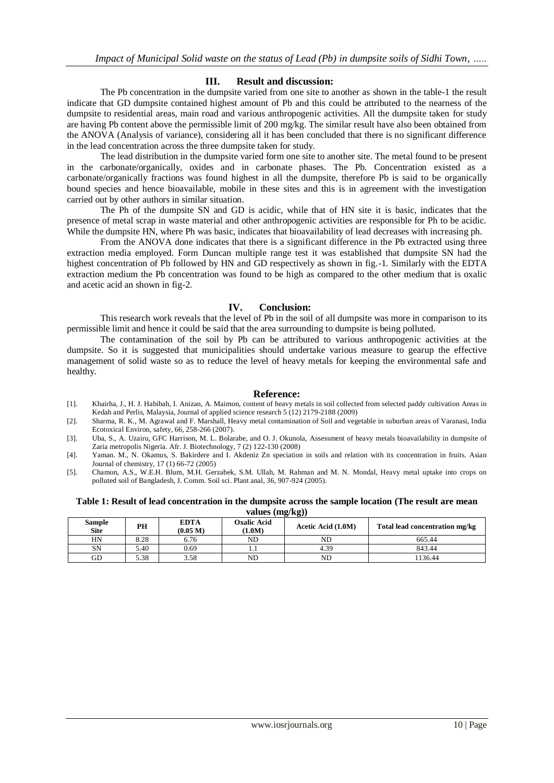## **III. Result and discussion:**

The Pb concentration in the dumpsite varied from one site to another as shown in the table-1 the result indicate that GD dumpsite contained highest amount of Pb and this could be attributed to the nearness of the dumpsite to residential areas, main road and various anthropogenic activities. All the dumpsite taken for study are having Pb content above the permissible limit of 200 mg/kg. The similar result have also been obtained from the ANOVA (Analysis of variance), considering all it has been concluded that there is no significant difference in the lead concentration across the three dumpsite taken for study.

The lead distribution in the dumpsite varied form one site to another site. The metal found to be present in the carbonate/organically, oxides and in carbonate phases. The Pb. Concentration existed as a carbonate/organically fractions was found highest in all the dumpsite, therefore Pb is said to be organically bound species and hence bioavailable, mobile in these sites and this is in agreement with the investigation carried out by other authors in similar situation.

The Ph of the dumpsite SN and GD is acidic, while that of HN site it is basic, indicates that the presence of metal scrap in waste material and other anthropogenic activities are responsible for Ph to be acidic. While the dumpsite HN, where Ph was basic, indicates that bioavailability of lead decreases with increasing ph.

From the ANOVA done indicates that there is a significant difference in the Pb extracted using three extraction media employed. Form Duncan multiple range test it was established that dumpsite SN had the highest concentration of Pb followed by HN and GD respectively as shown in fig.-1. Similarly with the EDTA extraction medium the Pb concentration was found to be high as compared to the other medium that is oxalic and acetic acid an shown in fig-2.

#### **IV. Conclusion:**

This research work reveals that the level of Pb in the soil of all dumpsite was more in comparison to its permissible limit and hence it could be said that the area surrounding to dumpsite is being polluted.

The contamination of the soil by Pb can be attributed to various anthropogenic activities at the dumpsite. So it is suggested that municipalities should undertake various measure to gearup the effective management of solid waste so as to reduce the level of heavy metals for keeping the environmental safe and healthy.

#### **Reference:**

- [1]. Khairha, J., H. J. Habibah, I. Anizan, A. Maimon, content of heavy metals in soil collected from selected paddy cultivation Areas in Kedah and Perlis, Malaysia, Journal of applied science research 5 (12) 2179-2188 (2009)
- [2]. Sharma, R. K., M. Agrawal and F. Marshall, Heavy metal contamination of Soil and vegetable in suburban areas of Varanasi, India Ecotoxical Environ, safety, 66, 258-266 (2007).
- [3]. Uba, S., A. Uzairu, GFC Harrison, M. L. Bolarabe, and O. J. Okunola, Assessment of heavy metals bioavailability in dumpsite of Zaria metropolis Nigeria. Afr. J. Biotechnology, 7 (2) 122-130 (2008)
- [4]. Yaman. M., N. Okamus, S. Bakirdere and I. Akdeniz Zn speciation in soils and relation with its concentration in fruits. Asian Journal of chemistry, 17 (1) 66-72 (2005)
- [5]. Chamon, A.S., W.E.H. Blum, M.H. Gerzabek, S.M. Ullah, M. Rahman and M. N. Mondal, Heavy metal uptake into crops on polluted soil of Bangladesh, J. Comm. Soil sci. Plant anal, 36, 907-924 (2005).

**Table 1: Result of lead concentration in the dumpsite across the sample location (The result are mean values (mg/kg))** 

| $\frac{1}{2}$                |      |                         |                            |                    |                                |  |
|------------------------------|------|-------------------------|----------------------------|--------------------|--------------------------------|--|
| <b>Sample</b><br><b>Site</b> | PН   | <b>EDTA</b><br>(0.05 M) | <b>Oxalic Acid</b><br>1.0M | Acetic Acid (1.0M) | Total lead concentration mg/kg |  |
| HN                           | 8.28 | 6.76                    | ND                         | ND                 | 665.44                         |  |
| SN                           | 5.40 | 0.69                    |                            | 4.39               | 843.44                         |  |
| GD                           | 5.38 | 3.58                    | ND                         | ND                 | 1136.44                        |  |